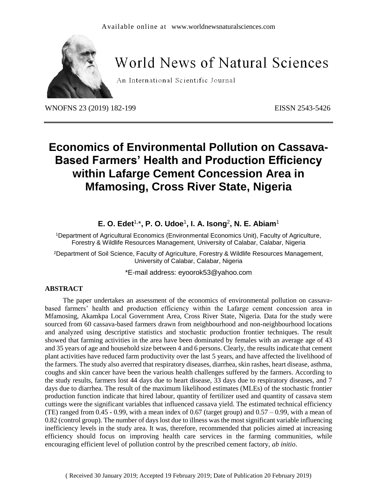

# World News of Natural Sciences

An International Scientific Journal

WNOFNS 23 (2019) 182-199 EISSN 2543-5426

## **Economics of Environmental Pollution on Cassava-Based Farmers' Health and Production Efficiency within Lafarge Cement Concession Area in Mfamosing, Cross River State, Nigeria**

**E. O. Edet**1, \***, P. O. Udoe**<sup>1</sup> **, I. A. Isong**<sup>2</sup> **, N. E. Abiam**<sup>1</sup>

<sup>1</sup>Department of Agricultural Economics (Environmental Economics Unit), Faculty of Agriculture, Forestry & Wildlife Resources Management, University of Calabar, Calabar, Nigeria

<sup>2</sup>Department of Soil Science, Faculty of Agriculture, Forestry & Wildlife Resources Management, University of Calabar, Calabar, Nigeria

\*E-mail address: [eyoorok53@yahoo.com](mailto:eyoorok53@yahoo.com)

## **ABSTRACT**

The paper undertakes an assessment of the economics of environmental pollution on cassavabased farmers' health and production efficiency within the Lafarge cement concession area in Mfamosing, Akamkpa Local Government Area, Cross River State, Nigeria. Data for the study were sourced from 60 cassava-based farmers drawn from neighbourhood and non-neighbourhood locations and analyzed using descriptive statistics and stochastic production frontier techniques. The result showed that farming activities in the area have been dominated by females with an average age of 43 and 35 years of age and household size between 4 and 6 persons. Clearly, the results indicate that cement plant activities have reduced farm productivity over the last 5 years, and have affected the livelihood of the farmers. The study also averred that respiratory diseases, diarrhea, skin rashes, heart disease, asthma, coughs and skin cancer have been the various health challenges suffered by the farmers. According to the study results, farmers lost 44 days due to heart disease, 33 days due to respiratory diseases, and 7 days due to diarrhea. The result of the maximum likelihood estimates (MLEs) of the stochastic frontier production function indicate that hired labour, quantity of fertilizer used and quantity of cassava stem cuttings were the significant variables that influenced cassava yield. The estimated technical efficiency (TE) ranged from  $0.45 - 0.99$ , with a mean index of  $0.67$  (target group) and  $0.57 - 0.99$ , with a mean of 0.82 (control group). The number of days lost due to illness was the most significant variable influencing inefficiency levels in the study area. It was, therefore, recommended that policies aimed at increasing efficiency should focus on improving health care services in the farming communities, while encouraging efficient level of pollution control by the prescribed cement factory, *ab initio*.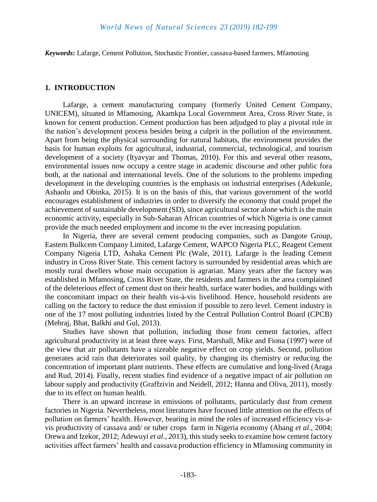*Keywords***:** Lafarge, Cement Pollution, Stochastic Frontier, cassava-based farmers, Mfamosing

#### **1. INTRODUCTION**

Lafarge, a cement manufacturing company (formerly United Cement Company, UNICEM), situated in Mfamosing, Akamkpa Local Government Area, Cross River State, is known for cement production. Cement production has been adjudged to play a pivotal role in the nation's development process besides being a culprit in the pollution of the environment. Apart from being the physical surrounding for natural habitats, the environment provides the basis for human exploits for agricultural, industrial, commercial, technological, and tourism development of a society (Ityavyar and Thomas, 2010). For this and several other reasons, environmental issues now occupy a centre stage in academic discourse and other public fora both, at the national and international levels. One of the solutions to the problems impeding development in the developing countries is the emphasis on industrial enterprises (Adekunle, Ashaolu and Obinka, 2015). It is on the basis of this, that various government of the world encourages establishment of industries in order to diversify the economy that could propel the achievement of sustainable development (SD), since agricultural sector alone which is the main economic activity, especially in Sub-Saharan African countries of which Nigeria is one cannot provide the much needed employment and income to the ever increasing population.

In Nigeria, there are several cement producing companies, such as Dangote Group, Eastern Bulkcem Company Limited, Lafarge Cement, WAPCO Nigeria PLC, Reagent Cement Company Nigeria LTD, Ashaka Cement Plc (Wale, 2011). Lafarge is the leading Cement industry in Cross River State. This cement factory is surrounded by residential areas which are mostly rural dwellers whose main occupation is agrarian. Many years after the factory was established in Mfamosing, Cross River State, the residents and farmers in the area complained of the deleterious effect of cement dust on their health, surface water bodies, and buildings with the concomitant impact on their health vis-à-vis livelihood. Hence, household residents are calling on the factory to reduce the dust emission if possible to zero level. Cement industry is one of the 17 most polluting industries listed by the Central Pollution Control Board (CPCB) (Mehraj, Bhat, Balkhi and Gul, 2013).

Studies have shown that pollution, including those from cement factories, affect agricultural productivity in at least three ways. First, Marshall, Mike and Fiona (1997) were of the view that air pollutants have a sizeable negative effect on crop yields. Second, pollution generates acid rain that deteriorates soil quality, by changing its chemistry or reducing the concentration of important plant nutrients. These effects are cumulative and long-lived (Araga and Rud, 2014). Finally, recent studies find evidence of a negative impact of air pollution on labour supply and productivity (Graffzivin and Neidell, 2012; Hanna and Oliva, 2011), mostly due to its effect on human health.

There is an upward increase in emissions of pollutants, particularly dust from cement factories in Nigeria. Nevertheless, most literatures have focused little attention on the effects of pollution on farmers' health. However, bearing in mind the roles of increased efficiency vis-avis productivity of cassava and/ or tuber crops farm in Nigeria economy (Abang *et al*., 2004; Orewa and Izekor, 2012; Adewuyi *et al*., 2013), this study seeks to examine how cement factory activities affect farmers' health and cassava production efficiency in Mfamosing community in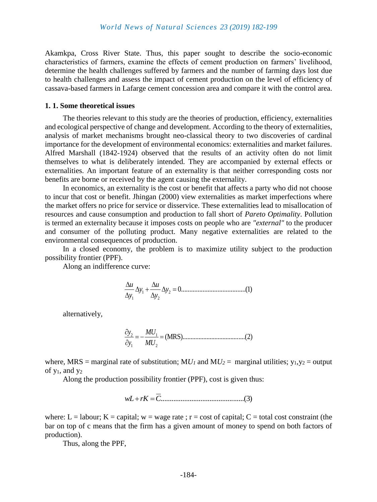Akamkpa, Cross River State. Thus, this paper sought to describe the socio-economic characteristics of farmers, examine the effects of cement production on farmers' livelihood, determine the health challenges suffered by farmers and the number of farming days lost due to health challenges and assess the impact of cement production on the level of efficiency of cassava-based farmers in Lafarge cement concession area and compare it with the control area.

#### **1. 1. Some theoretical issues**

The theories relevant to this study are the theories of production, efficiency, externalities and ecological perspective of change and development. According to the theory of externalities, analysis of market mechanisms brought neo-classical theory to two discoveries of cardinal importance for the development of environmental economics: externalities and market failures. Alfred Marshall (1842-1924) observed that the results of an activity often do not limit themselves to what is deliberately intended. They are accompanied by external effects or externalities. An important feature of an externality is that neither corresponding costs nor benefits are borne or received by the agent causing the externality.

In economics, an externality is the cost or benefit that affects a party who did not choose to incur that cost or benefit. Jhingan (2000) view externalities as market imperfections where the market offers no price for service or disservice. These externalities lead to misallocation of resources and cause consumption and production to fall short of *Pareto Optimality*. Pollution is termed an externality because it imposes costs on people who are *"external"* to the producer and consumer of the polluting product. Many negative externalities are related to the environmental consequences of production.

In a closed economy, the problem is to maximize utility subject to the production possibility frontier (PPF).

Along an indifference curve:

$$
\frac{\Delta u}{\Delta y_1} \Delta y_1 + \frac{\Delta u}{\Delta y_2} \Delta y_2 = 0
$$
.................(1)

alternatively,

$$
\frac{\partial y_2}{\partial y_1} = -\frac{MU_1}{MU_2} = (MRS) \dots (2)
$$

where, MRS = marginal rate of substitution;  $MU<sub>1</sub>$  and  $MU<sub>2</sub>$  = marginal utilities;  $y<sub>1</sub>, y<sub>2</sub>$  = output of  $y_1$ , and  $y_2$ 

Along the production possibility frontier (PPF), cost is given thus:

$$
wL + rK = \overline{C} \tag{3}
$$

where: L = labour; K = capital; w = wage rate ; r = cost of capital; C = total cost constraint (the bar on top of c means that the firm has a given amount of money to spend on both factors of production).

Thus, along the PPF,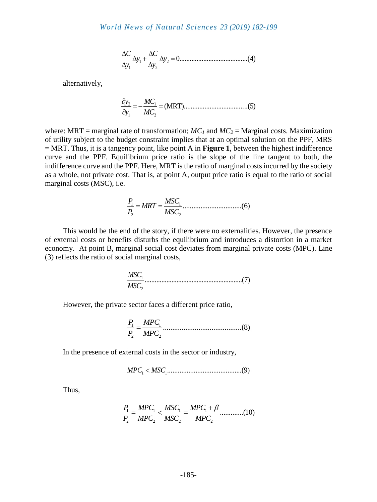1 2 1 2 0........................................(4) *C C y y y y* 

alternatively,

$$
\frac{\partial y_2}{\partial y_1} = -\frac{MC_1}{MC_2} = (MRT) \dots (5)
$$

where: MRT = marginal rate of transformation;  $MC_I$  and  $MC_2$  = Marginal costs. Maximization of utility subject to the budget constraint implies that at an optimal solution on the PPF, MRS = MRT. Thus, it is a tangency point, like point A in **Figure 1**, between the highest indifference curve and the PPF. Equilibrium price ratio is the slope of the line tangent to both, the indifference curve and the PPF. Here, MRT is the ratio of marginal costs incurred by the society as a whole, not private cost. That is, at point A, output price ratio is equal to the ratio of social marginal costs (MSC), i.e.

1 1 2 2 .................................(6) *P MSC MRT P MSC* 

This would be the end of the story, if there were no externalities. However, the presence of external costs or benefits disturbs the equilibrium and introduces a distortion in a market economy. At point B, marginal social cost deviates from marginal private costs (MPC). Line (3) reflects the ratio of social marginal costs,

$$
\frac{MSC_1}{MSC_2}
$$
.................(7)

However, the private sector faces a different price ratio,

1 1 2 2 ..........................................(8) *P MPC P MPC* 

In the presence of external costs in the sector or industry,

$$
MPC1 < MSC1.................(9)
$$

Thus,

1 1 1 1 2 2 2 2 .............(10) *P MPC MSC MPC P MPC MSC MPC*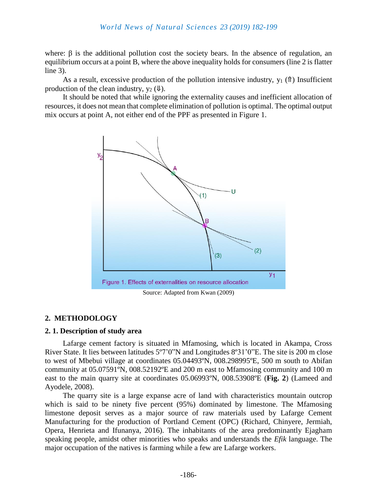where:  $\beta$  is the additional pollution cost the society bears. In the absence of regulation, an equilibrium occurs at a point B, where the above inequality holds for consumers (line 2 is flatter line 3).

As a result, excessive production of the pollution intensive industry,  $y_1(\hat{\theta})$  Insufficient production of the clean industry,  $y_2$  ( $\Downarrow$ ).

It should be noted that while ignoring the externality causes and inefficient allocation of resources, it does not mean that complete elimination of pollution is optimal. The optimal output mix occurs at point A, not either end of the PPF as presented in Figure 1.



## **2. METHODOLOGY**

## **2. 1. Description of study area**

Lafarge cement factory is situated in Mfamosing, which is located in Akampa, Cross River State. It lies between latitudes 5º7'0"N and Longitudes 8º31'0"E. The site is 200 m close to west of Mbebui village at coordinates 05.04493ºN, 008.298995ºE, 500 m south to Abifan community at 05.07591ºN, 008.52192ºE and 200 m east to Mfamosing community and 100 m east to the main quarry site at coordinates 05.06993ºN, 008.53908ºE (**Fig. 2**) (Lameed and Ayodele, 2008).

The quarry site is a large expanse acre of land with characteristics mountain outcrop which is said to be ninety five percent (95%) dominated by limestone. The Mfamosing limestone deposit serves as a major source of raw materials used by Lafarge Cement Manufacturing for the production of Portland Cement (OPC) (Richard, Chinyere, Jermiah, Opera, Henrieta and Ifunanya, 2016). The inhabitants of the area predominantly Ejagham speaking people, amidst other minorities who speaks and understands the *Efik* language. The major occupation of the natives is farming while a few are Lafarge workers.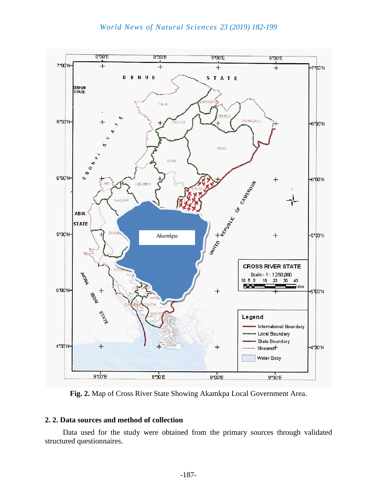

**Fig. 2.** Map of Cross River State Showing Akamkpa Local Government Area.

## **2. 2. Data sources and method of collection**

Data used for the study were obtained from the primary sources through validated structured questionnaires.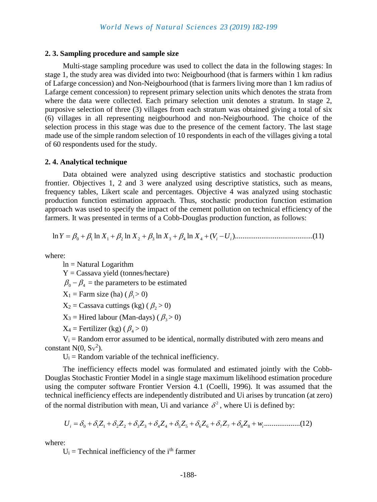#### **2. 3. Sampling procedure and sample size**

Multi-stage sampling procedure was used to collect the data in the following stages: In stage 1, the study area was divided into two: Neigbourhood (that is farmers within 1 km radius of Lafarge concession) and Non-Neigbourhood (that is farmers living more than 1 km radius of Lafarge cement concession) to represent primary selection units which denotes the strata from where the data were collected. Each primary selection unit denotes a stratum. In stage 2, purposive selection of three (3) villages from each stratum was obtained giving a total of six (6) villages in all representing neigbourhood and non-Neigbourhood. The choice of the selection process in this stage was due to the presence of the cement factory. The last stage made use of the simple random selection of 10 respondents in each of the villages giving a total of 60 respondents used for the study.

#### **2. 4. Analytical technique**

Data obtained were analyzed using descriptive statistics and stochastic production frontier. Objectives 1, 2 and 3 were analyzed using descriptive statistics, such as means, frequency tables, Likert scale and percentages. Objective 4 was analyzed using stochastic production function estimation approach. Thus, stochastic production function estimation production function estimation approach. Thus, stochastic production function estimation<br>approach was used to specify the impact of the cement pollution on technical efficiency of the<br>farmers. It was presented in terms of farmers. It was presented in terms of a Cobb-Douglas production function, as follows:

where:

ln = Natural Logarithm  $Y =$ Cassava yield (tonnes/hectare)  $\beta_0 - \beta_4$  = the parameters to be estimated  $X_1$  = Farm size (ha) ( $\beta_1$  > 0)

 $X_2$  = Cassava cuttings (kg) ( $\beta_2$  > 0)

 $X_3$  = Hired labour (Man-days) ( $\beta_3$  > 0)

 $X_4$  = Fertilizer (kg) ( $\beta_4$  > 0)

 $V_i$  = Random error assumed to be identical, normally distributed with zero means and constant  $N(0, Sv^2)$ .

 $U_i$  = Random variable of the technical inefficiency.

The inefficiency effects model was formulated and estimated jointly with the Cobb-Douglas Stochastic Frontier Model in a single stage maximum likelihood estimation procedure using the computer software Frontier Version 4.1 (Coelli, 1996). It was assumed that the technical inefficiency effects are independently distributed and Ui arises by truncation (at zero) of the normal distribution with mean, Ui and variance  $\delta^2$ , where Ui is defined by:<br> $U_i = \delta_0 + \delta_1 Z_1 + \delta_2 Z_2 + \delta_3 Z_3 + \delta_$ of the normal distribution with mean, Ui and variance  $\delta^2$ , where Ui is defined by:

0 1 1 2 2 3 3 4 4 5 5 6 6 7 7 8 <sup>8</sup>

where:

 $U_i$  = Technical inefficiency of the i<sup>th</sup> farmer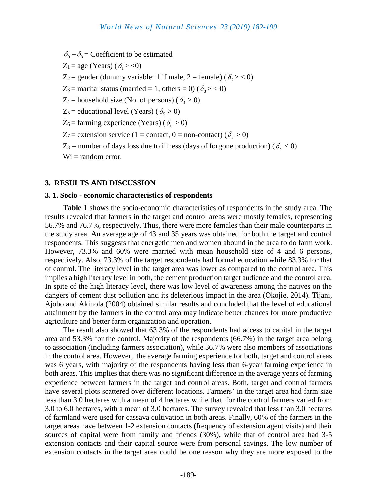$\delta_0 - \delta_8 =$  Coefficient to be estimated

 $Z_1 = \text{age (Years)} (\delta_1 > <0)$ 

 $Z_2$  = gender (dummy variable: 1 if male, 2 = female) ( $\delta_2$  > < 0)

 $Z_3$  = marital status (married = 1, others = 0) ( $\delta_3$  > < 0)

 $Z_4$  = household size (No. of persons) ( $\delta_4$  > 0)

 $Z_5$  = educational level (Years) ( $\delta_5$  > 0)

 $Z_6$  = farming experience (Years) ( $\delta_6 > 0$ )

 $Z_7$  = extension service (1 = contact, 0 = non-contact) ( $\delta_7$  > 0)

 $Z_8$  = number of days loss due to illness (days of forgone production) ( $\delta_8$  < 0)

 $Wi = random error.$ 

#### **3. RESULTS AND DISCUSSION**

#### **3. 1. Socio - economic characteristics of respondents**

**Table 1** shows the socio-economic characteristics of respondents in the study area. The results revealed that farmers in the target and control areas were mostly females, representing 56.7% and 76.7%, respectively. Thus, there were more females than their male counterparts in the study area. An average age of 43 and 35 years was obtained for both the target and control respondents. This suggests that energetic men and women abound in the area to do farm work. However, 73.3% and 60% were married with mean household size of 4 and 6 persons, respectively. Also, 73.3% of the target respondents had formal education while 83.3% for that of control. The literacy level in the target area was lower as compared to the control area. This implies a high literacy level in both, the cement production target audience and the control area. In spite of the high literacy level, there was low level of awareness among the natives on the dangers of cement dust pollution and its deleterious impact in the area (Okojie, 2014). Tijani, Ajobo and Akinola (2004) obtained similar results and concluded that the level of educational attainment by the farmers in the control area may indicate better chances for more productive agriculture and better farm organization and operation.

The result also showed that 63.3% of the respondents had access to capital in the target area and 53.3% for the control. Majority of the respondents (66.7%) in the target area belong to association (including farmers association), while 36.7% were also members of associations in the control area. However, the average farming experience for both, target and control areas was 6 years, with majority of the respondents having less than 6-year farming experience in both areas. This implies that there was no significant difference in the average years of farming experience between farmers in the target and control areas. Both, target and control farmers have several plots scattered over different locations. Farmers' in the target area had farm size less than 3.0 hectares with a mean of 4 hectares while that for the control farmers varied from 3.0 to 6.0 hectares, with a mean of 3.0 hectares. The survey revealed that less than 3.0 hectares of farmland were used for cassava cultivation in both areas. Finally, 60% of the farmers in the target areas have between 1-2 extension contacts (frequency of extension agent visits) and their sources of capital were from family and friends (30%), while that of control area had 3-5 extension contacts and their capital source were from personal savings. The low number of extension contacts in the target area could be one reason why they are more exposed to the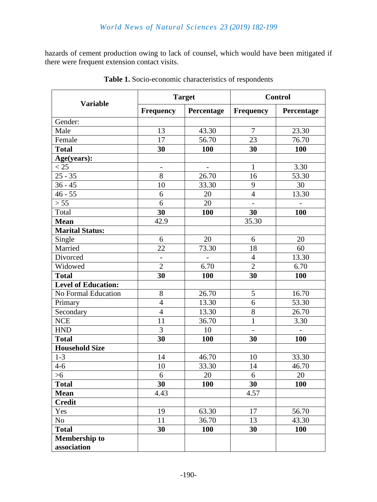hazards of cement production owing to lack of counsel, which would have been mitigated if there were frequent extension contact visits.

|                                     |                          | <b>Target</b>            | <b>Control</b>           |            |  |
|-------------------------------------|--------------------------|--------------------------|--------------------------|------------|--|
| <b>Variable</b>                     | <b>Frequency</b>         | Percentage               | <b>Frequency</b>         | Percentage |  |
| Gender:                             |                          |                          |                          |            |  |
| Male                                | 13                       | 43.30                    | $\overline{7}$           | 23.30      |  |
| Female                              | 17                       | 56.70                    | 23                       | 76.70      |  |
| <b>Total</b>                        | 30                       | 100                      | 30                       | 100        |  |
| Age(years):                         |                          |                          |                          |            |  |
| < 25                                | $\overline{\phantom{0}}$ | $\overline{\phantom{m}}$ | 1                        | 3.30       |  |
| $25 - 35$                           | 8                        | 26.70                    | 16                       | 53.30      |  |
| $36 - 45$                           | 10                       | 33.30                    | 9                        | 30         |  |
| $46 - 55$                           | 6                        | 20                       | $\overline{4}$           | 13.30      |  |
| > 55                                | 6                        | 20                       | $\overline{\phantom{0}}$ |            |  |
| Total                               | 30                       | 100                      | 30                       | 100        |  |
| <b>Mean</b>                         | 42.9                     |                          | 35.30                    |            |  |
| <b>Marital Status:</b>              |                          |                          |                          |            |  |
| Single                              | 6                        | 20                       | 6                        | 20         |  |
| Married                             | 22                       | 73.30                    | 18                       | 60         |  |
| Divorced                            | $\overline{a}$           | $\overline{a}$           | $\overline{4}$           | 13.30      |  |
| Widowed                             | $\overline{2}$           | 6.70                     | $\overline{2}$           | 6.70       |  |
| <b>Total</b>                        | 30                       | 100                      | 30                       | 100        |  |
| <b>Level of Education:</b>          |                          |                          |                          |            |  |
| No Formal Education                 | 8                        | 26.70                    | 5                        | 16.70      |  |
| Primary                             | $\overline{4}$           | 13.30                    | 6                        | 53.30      |  |
| Secondary                           | $\overline{4}$           | 13.30                    | 8                        | 26.70      |  |
| <b>NCE</b>                          | 11                       | 36.70                    | $\mathbf{1}$             | 3.30       |  |
| <b>HND</b>                          | 3                        | 10                       | $\overline{\phantom{0}}$ |            |  |
| <b>Total</b>                        | 30                       | 100                      | 30                       | 100        |  |
| <b>Household Size</b>               |                          |                          |                          |            |  |
| $1 - 3$                             | 14                       | 46.70                    | 10                       | 33.30      |  |
| $4 - 6$                             | 10                       | 33.30                    | 14                       | 46.70      |  |
| >6                                  | 6                        | 20                       | 6                        | 20         |  |
| <b>Total</b>                        | 30                       | 100                      | 30                       | 100        |  |
| <b>Mean</b>                         | 4.43                     |                          | 4.57                     |            |  |
| <b>Credit</b>                       |                          |                          |                          |            |  |
| Yes                                 | 19                       | 63.30                    | 17                       | 56.70      |  |
| N <sub>o</sub>                      | 11                       | 36.70                    | 13                       | 43.30      |  |
| <b>Total</b>                        | 30                       | 100                      | 30                       | 100        |  |
| <b>Membership to</b><br>association |                          |                          |                          |            |  |

**Table 1.** Socio-economic characteristics of respondents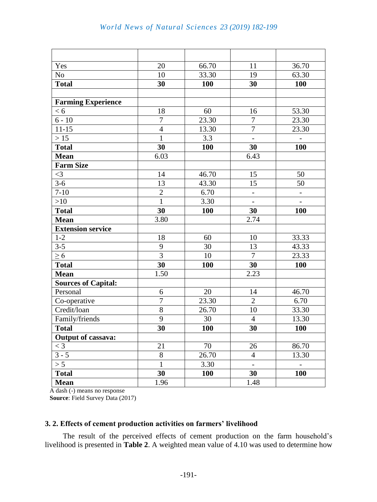| Yes                        | 20               | 66.70      | 11                       | 36.70                    |
|----------------------------|------------------|------------|--------------------------|--------------------------|
| N <sub>o</sub>             | 10               | 33.30      | 19                       | 63.30                    |
| <b>Total</b>               | 30               | <b>100</b> | 30                       | <b>100</b>               |
|                            |                  |            |                          |                          |
| <b>Farming Experience</b>  |                  |            |                          |                          |
| < 6                        | 18               | 60         | 16                       | 53.30                    |
| $6 - 10$                   | $\boldsymbol{7}$ | 23.30      | $\overline{7}$           | 23.30                    |
| $11 - 15$                  | $\overline{4}$   | 13.30      | $\overline{7}$           | 23.30                    |
| $>15$                      | $\overline{1}$   | 3.3        | $\blacksquare$           | $\qquad \qquad -$        |
| <b>Total</b>               | 30               | 100        | 30                       | 100                      |
| <b>Mean</b>                | 6.03             |            | 6.43                     |                          |
| <b>Farm Size</b>           |                  |            |                          |                          |
| $\leq$ 3                   | 14               | 46.70      | 15                       | 50                       |
| $3-6$                      | 13               | 43.30      | 15                       | 50                       |
| $7 - 10$                   | $\overline{2}$   | 6.70       | $\overline{\phantom{0}}$ |                          |
| >10                        | $\mathbf{1}$     | 3.30       | $\overline{\phantom{a}}$ | $\overline{\phantom{a}}$ |
| <b>Total</b>               | 30               | 100        | 30                       | 100                      |
| <b>Mean</b>                | 3.80             |            | 2.74                     |                          |
| <b>Extension service</b>   |                  |            |                          |                          |
| $1-2$                      | 18               | 60         | 10                       | 33.33                    |
| $3 - 5$                    | $\mathbf{9}$     | 30         | 13                       | 43.33                    |
| $\geq 6$                   | $\overline{3}$   | 10         | $\overline{7}$           | 23.33                    |
| <b>Total</b>               | 30               | 100        | 30                       | <b>100</b>               |
| <b>Mean</b>                | 1.50             |            | 2.23                     |                          |
| <b>Sources of Capital:</b> |                  |            |                          |                          |
| Personal                   | 6                | 20         | 14                       | 46.70                    |
| Co-operative               | $\overline{7}$   | 23.30      | $\overline{2}$           | 6.70                     |
| Credit/loan                | 8                | 26.70      | 10                       | 33.30                    |
| Family/friends             | 9                | 30         | $\overline{4}$           | 13.30                    |
| <b>Total</b>               | 30               | 100        | 30                       | 100                      |
| <b>Output of cassava:</b>  |                  |            |                          |                          |
| $<$ 3                      | 21               | 70         | 26                       | 86.70                    |
| $3 - 5$                    | $8\,$            | 26.70      | $\overline{4}$           | 13.30                    |
| > 5                        | $\mathbf{1}$     | 3.30       | $\blacksquare$           |                          |
| <b>Total</b>               | 30               | <b>100</b> | 30                       | 100                      |
| <b>Mean</b>                | 1.96             |            | 1.48                     |                          |

A dash (-) means no response

 **Source**: Field Survey Data (2017)

## **3. 2. Effects of cement production activities on farmers' livelihood**

The result of the perceived effects of cement production on the farm household's livelihood is presented in **Table 2**. A weighted mean value of 4.10 was used to determine how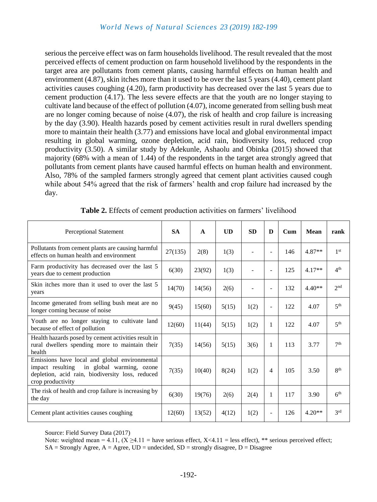serious the perceive effect was on farm households livelihood. The result revealed that the most perceived effects of cement production on farm household livelihood by the respondents in the target area are pollutants from cement plants, causing harmful effects on human health and environment (4.87), skin itches more than it used to be over the last 5 years (4.40), cement plant activities causes coughing (4.20), farm productivity has decreased over the last 5 years due to cement production (4.17). The less severe effects are that the youth are no longer staying to cultivate land because of the effect of pollution (4.07), income generated from selling bush meat are no longer coming because of noise (4.07), the risk of health and crop failure is increasing by the day (3.90). Health hazards posed by cement activities result in rural dwellers spending more to maintain their health (3.77) and emissions have local and global environmental impact resulting in global warming, ozone depletion, acid rain, biodiversity loss, reduced crop productivity (3.50). A similar study by Adekunle, Ashaolu and Obinka (2015) showed that majority (68% with a mean of 1.44) of the respondents in the target area strongly agreed that pollutants from cement plants have caused harmful effects on human health and environment. Also, 78% of the sampled farmers strongly agreed that cement plant activities caused cough while about 54% agreed that the risk of farmers' health and crop failure had increased by the day.

| <b>Perceptional Statement</b>                                                                                                                                          | <b>SA</b> | A      | <b>UD</b> | <b>SD</b> | D                        | $_{\rm Cum}$ | <b>Mean</b> | rank            |
|------------------------------------------------------------------------------------------------------------------------------------------------------------------------|-----------|--------|-----------|-----------|--------------------------|--------------|-------------|-----------------|
| Pollutants from cement plants are causing harmful<br>effects on human health and environment                                                                           | 27(135)   | 2(8)   | 1(3)      |           | $\overline{\phantom{a}}$ | 146          | $4.87**$    | 1 <sup>st</sup> |
| Farm productivity has decreased over the last 5<br>years due to cement production                                                                                      | 6(30)     | 23(92) | 1(3)      |           | $\overline{\phantom{a}}$ | 125          | $4.17**$    | 4 <sup>th</sup> |
| Skin itches more than it used to over the last 5<br>years                                                                                                              | 14(70)    | 14(56) | 2(6)      |           | $\overline{\phantom{a}}$ | 132          | $4.40**$    | 2 <sub>nd</sub> |
| Income generated from selling bush meat are no<br>longer coming because of noise                                                                                       | 9(45)     | 15(60) | 5(15)     | 1(2)      | $\overline{\phantom{a}}$ | 122          | 4.07        | 5 <sup>th</sup> |
| Youth are no longer staying to cultivate land<br>because of effect of pollution                                                                                        | 12(60)    | 11(44) | 5(15)     | 1(2)      | 1                        | 122          | 4.07        | 5 <sup>th</sup> |
| Health hazards posed by cement activities result in<br>rural dwellers spending more to maintain their<br>health                                                        | 7(35)     | 14(56) | 5(15)     | 3(6)      | 1                        | 113          | 3.77        | 7 <sup>th</sup> |
| Emissions have local and global environmental<br>impact resulting<br>in global warming, ozone<br>depletion, acid rain, biodiversity loss, reduced<br>crop productivity | 7(35)     | 10(40) | 8(24)     | 1(2)      | $\overline{4}$           | 105          | 3.50        | 8 <sup>th</sup> |
| The risk of health and crop failure is increasing by<br>the day                                                                                                        | 6(30)     | 19(76) | 2(6)      | 2(4)      | 1                        | 117          | 3.90        | 6 <sup>th</sup> |
| Cement plant activities causes coughing                                                                                                                                | 12(60)    | 13(52) | 4(12)     | 1(2)      | $\overline{\phantom{a}}$ | 126          | $4.20**$    | 3 <sup>rd</sup> |

Source: Field Survey Data (2017)

Note: weighted mean = 4.11,  $(X \ge 4.11)$  = have serious effect,  $X \le 4.11$  = less effect), \*\* serious perceived effect;  $SA =$  Strongly Agree,  $A =$  Agree,  $UD =$  undecided,  $SD =$  strongly disagree,  $D =$  Disagree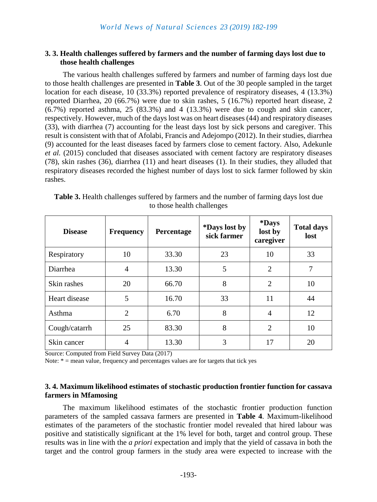## **3. 3. Health challenges suffered by farmers and the number of farming days lost due to those health challenges**

The various health challenges suffered by farmers and number of farming days lost due to those health challenges are presented in **Table 3**. Out of the 30 people sampled in the target location for each disease, 10 (33.3%) reported prevalence of respiratory diseases, 4 (13.3%) reported Diarrhea, 20 (66.7%) were due to skin rashes, 5 (16.7%) reported heart disease, 2  $(6.7\%)$  reported asthma, 25  $(83.3\%)$  and 4  $(13.3\%)$  were due to cough and skin cancer, respectively. However, much of the days lost was on heart diseases (44) and respiratory diseases (33), with diarrhea (7) accounting for the least days lost by sick persons and caregiver. This result is consistent with that of Afolabi, Francis and Adejompo (2012). In their studies, diarrhea (9) accounted for the least diseases faced by farmers close to cement factory. Also, Adekunle *et al.* (2015) concluded that diseases associated with cement factory are respiratory diseases (78), skin rashes (36), diarrhea (11) and heart diseases (1). In their studies, they alluded that respiratory diseases recorded the highest number of days lost to sick farmer followed by skin rashes.

| <b>Disease</b> | <b>Frequency</b> | Percentage | *Days lost by<br>sick farmer | *Days<br>lost by<br>caregiver | <b>Total days</b><br>lost |
|----------------|------------------|------------|------------------------------|-------------------------------|---------------------------|
| Respiratory    | 10               | 33.30      | 23                           | 10                            | 33                        |
| Diarrhea       | $\overline{4}$   | 13.30      | 5                            | $\overline{2}$                | 7                         |
| Skin rashes    | 20               | 66.70      | 8                            | $\overline{2}$                | 10                        |
| Heart disease  | 5                | 16.70      | 33                           | 11                            | 44                        |
| Asthma         | $\overline{2}$   | 6.70       | 8                            | $\overline{4}$                | 12                        |
| Cough/catarrh  | 25               | 83.30      | 8                            | $\overline{2}$                | 10                        |
| Skin cancer    | 4                | 13.30      | 3                            | 17                            | 20                        |

**Table 3.** Health challenges suffered by farmers and the number of farming days lost due to those health challenges

Source: Computed from Field Survey Data (2017)

Note:  $* =$  mean value, frequency and percentages values are for targets that tick yes

## **3. 4. Maximum likelihood estimates of stochastic production frontier function for cassava farmers in Mfamosing**

The maximum likelihood estimates of the stochastic frontier production function parameters of the sampled cassava farmers are presented in **Table 4**. Maximum-likelihood estimates of the parameters of the stochastic frontier model revealed that hired labour was positive and statistically significant at the 1% level for both, target and control group. These results was in line with the *a priori* expectation and imply that the yield of cassava in both the target and the control group farmers in the study area were expected to increase with the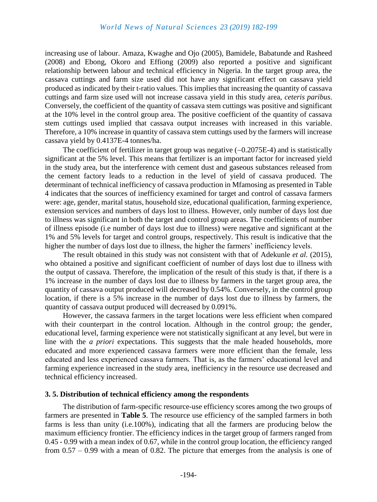increasing use of labour. Amaza, Kwaghe and Ojo (2005), Bamidele, Babatunde and Rasheed (2008) and Ebong, Okoro and Effiong (2009) also reported a positive and significant relationship between labour and technical efficiency in Nigeria. In the target group area, the cassava cuttings and farm size used did not have any significant effect on cassava yield produced as indicated by their t-ratio values. This implies that increasing the quantity of cassava cuttings and farm size used will not increase cassava yield in this study area, *ceteris paribus*. Conversely, the coefficient of the quantity of cassava stem cuttings was positive and significant at the 10% level in the control group area. The positive coefficient of the quantity of cassava stem cuttings used implied that cassava output increases with increased in this variable. Therefore, a 10% increase in quantity of cassava stem cuttings used by the farmers will increase cassava yield by 0.4137E-4 tonnes/ha.

The coefficient of fertilizer in target group was negative  $(-0.2075E-4)$  and is statistically significant at the 5% level. This means that fertilizer is an important factor for increased yield in the study area, but the interference with cement dust and gaseous substances released from the cement factory leads to a reduction in the level of yield of cassava produced. The determinant of technical inefficiency of cassava production in Mfamosing as presented in Table 4 indicates that the sources of inefficiency examined for target and control of cassava farmers were: age, gender, marital status, household size, educational qualification, farming experience, extension services and numbers of days lost to illness. However, only number of days lost due to illness was significant in both the target and control group areas. The coefficients of number of illness episode (i.e number of days lost due to illness) were negative and significant at the 1% and 5% levels for target and control groups, respectively. This result is indicative that the higher the number of days lost due to illness, the higher the farmers' inefficiency levels.

The result obtained in this study was not consistent with that of Adekunle *et al.* (2015)*,*  who obtained a positive and significant coefficient of number of days lost due to illness with the output of cassava. Therefore, the implication of the result of this study is that, if there is a 1% increase in the number of days lost due to illness by farmers in the target group area, the quantity of cassava output produced will decreased by 0.54%. Conversely, in the control group location, if there is a 5% increase in the number of days lost due to illness by farmers, the quantity of cassava output produced will decreased by 0.091%.

However, the cassava farmers in the target locations were less efficient when compared with their counterpart in the control location. Although in the control group; the gender, educational level, farming experience were not statistically significant at any level, but were in line with the *a priori* expectations. This suggests that the male headed households, more educated and more experienced cassava farmers were more efficient than the female, less educated and less experienced cassava farmers. That is, as the farmers' educational level and farming experience increased in the study area, inefficiency in the resource use decreased and technical efficiency increased.

## **3. 5. Distribution of technical efficiency among the respondents**

The distribution of farm-specific resource-use efficiency scores among the two groups of farmers are presented in **Table 5**. The resource use efficiency of the sampled farmers in both farms is less than unity (i.e.100%), indicating that all the farmers are producing below the maximum efficiency frontier. The efficiency indices in the target group of farmers ranged from 0.45 - 0.99 with a mean index of 0.67, while in the control group location, the efficiency ranged from 0.57 – 0.99 with a mean of 0.82. The picture that emerges from the analysis is one of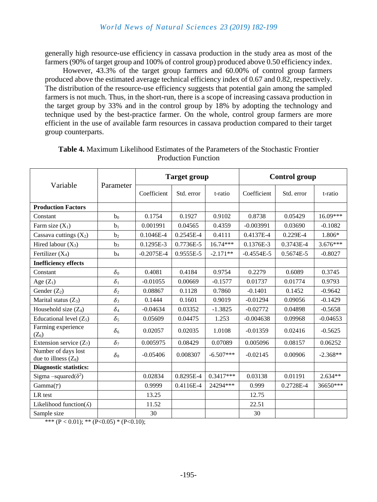generally high resource-use efficiency in cassava production in the study area as most of the farmers (90% of target group and 100% of control group) produced above 0.50 efficiency index.

However, 43.3% of the target group farmers and 60.00% of control group farmers produced above the estimated average technical efficiency index of 0.67 and 0.82, respectively. The distribution of the resource-use efficiency suggests that potential gain among the sampled farmers is not much. Thus, in the short-run, there is a scope of increasing cassava production in the target group by 33% and in the control group by 18% by adopting the technology and technique used by the best-practice farmer. On the whole, control group farmers are more efficient in the use of available farm resources in cassava production compared to their target group counterparts.

|                                                                  |                | <b>Target group</b> |            |             | <b>Control group</b> |            |            |
|------------------------------------------------------------------|----------------|---------------------|------------|-------------|----------------------|------------|------------|
| Variable                                                         | Parameter      | Coefficient         | Std. error | t-ratio     | Coefficient          | Std. error | t-ratio    |
| <b>Production Factors</b>                                        |                |                     |            |             |                      |            |            |
| Constant                                                         | b <sub>0</sub> | 0.1754              | 0.1927     | 0.9102      | 0.8738               | 0.05429    | 16.09***   |
| Farm size $(X_1)$                                                | b <sub>1</sub> | 0.001991            | 0.04565    | 0.4359      | $-0.003991$          | 0.03690    | $-0.1082$  |
| Cassava cuttings $(X_2)$                                         | b <sub>2</sub> | 0.1046E-4           | 0.2545E-4  | 0.4111      | 0.4137E-4            | $0.229E-4$ | 1.806*     |
| Hired labour $(X_3)$                                             | $b_3$          | 0.1295E-3           | 0.7736E-5  | 16.74***    | 0.1376E-3            | 0.3743E-4  | $3.676***$ |
| Fertilizer $(X_4)$                                               | b <sub>4</sub> | $-0.2075E-4$        | 0.9555E-5  | $-2.171**$  | $-0.4554E-5$         | 0.5674E-5  | $-0.8027$  |
| <b>Inefficiency effects</b>                                      |                |                     |            |             |                      |            |            |
| Constant                                                         | $\delta_0$     | 0.4081              | 0.4184     | 0.9754      | 0.2279               | 0.6089     | 0.3745     |
| Age $(Z_1)$                                                      | $\delta_1$     | $-0.01055$          | 0.00669    | $-0.1577$   | 0.01737              | 0.01774    | 0.9793     |
| Gender $(Z_2)$                                                   | $\delta_2$     | 0.08867             | 0.1128     | 0.7860      | $-0.1401$            | 0.1452     | $-0.9642$  |
| Marital status $(Z_3)$                                           | $\delta_3$     | 0.1444              | 0.1601     | 0.9019      | $-0.01294$           | 0.09056    | $-0.1429$  |
| Household size $(Z_4)$                                           | $\delta_4$     | $-0.04634$          | 0.03352    | $-1.3825$   | $-0.02772$           | 0.04898    | $-0.5658$  |
| Educational level $(Z_5)$                                        | $\delta_5$     | 0.05609             | 0.04475    | 1.253       | $-0.004638$          | 0.09968    | $-0.04653$ |
| Farming experience<br>$(Z_6)$                                    | $\delta_6$     | 0.02057             | 0.02035    | 1.0108      | $-0.01359$           | 0.02416    | $-0.5625$  |
| Extension service $(Z_7)$                                        | $\delta_7$     | 0.005975            | 0.08429    | 0.07089     | 0.005096             | 0.08157    | 0.06252    |
| Number of days lost<br>due to illness $(Z_8)$                    | $\delta_8$     | $-0.05406$          | 0.008307   | $-6.507***$ | $-0.02145$           | 0.00906    | $-2.368**$ |
| <b>Diagnostic statistics:</b>                                    |                |                     |            |             |                      |            |            |
| Sigma -squared( $\delta^2$ )                                     |                | 0.02834             | 0.8295E-4  | $0.3417***$ | 0.03138              | 0.01191    | $2.634**$  |
| $Gamma(\gamma)$                                                  |                | 0.9999              | 0.4116E-4  | 24294***    | 0.999                | 0.2728E-4  | 36650***   |
| LR test                                                          |                | 13.25               |            |             | 12.75                |            |            |
| Likelihood function( $\Lambda$ )                                 |                | 11.52               |            |             | 22.51                |            |            |
| Sample size<br>*** (D $(0.01)$ , ** (D $(0.05)$ * (D $(0.10)$ ). |                | 30                  |            |             | 30                   |            |            |

| <b>Table 4.</b> Maximum Likelihood Estimates of the Parameters of the Stochastic Frontier |
|-------------------------------------------------------------------------------------------|
| <b>Production Function</b>                                                                |

\*\*\*  $(P < 0.01)$ ; \*\*  $(P < 0.05)$  \*  $(P < 0.10)$ ;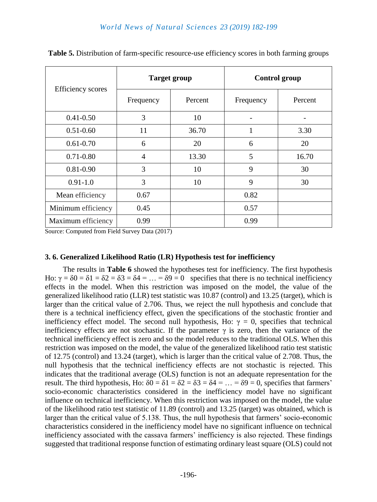|                          |           | <b>Target group</b> | <b>Control group</b> |         |  |
|--------------------------|-----------|---------------------|----------------------|---------|--|
| <b>Efficiency</b> scores | Frequency | Percent             | Frequency            | Percent |  |
| $0.41 - 0.50$            | 3         | 10                  |                      |         |  |
| $0.51 - 0.60$            | 11        | 36.70               |                      | 3.30    |  |
| $0.61 - 0.70$            | 6         | 20                  | 6                    | 20      |  |
| $0.71 - 0.80$            | 4         | 13.30               | 5                    | 16.70   |  |
| $0.81 - 0.90$            | 3         | 10                  | 9                    | 30      |  |
| $0.91 - 1.0$             | 3         | 10                  | 9                    | 30      |  |
| Mean efficiency          | 0.67      |                     | 0.82                 |         |  |
| Minimum efficiency       | 0.45      |                     | 0.57                 |         |  |
| Maximum efficiency       | 0.99      |                     | 0.99                 |         |  |

**Table 5.** Distribution of farm-specific resource-use efficiency scores in both farming groups

Source: Computed from Field Survey Data (2017)

## **3. 6. Generalized Likelihood Ratio (LR) Hypothesis test for inefficiency**

The results in **Table 6** showed the hypotheses test for inefficiency. The first hypothesis Ho:  $\gamma = \delta 0 = \delta 1 = \delta 2 = \delta 3 = \delta 4 = \dots = \delta 9 = 0$  specifies that there is no technical inefficiency effects in the model. When this restriction was imposed on the model, the value of the generalized likelihood ratio (LLR) test statistic was 10.87 (control) and 13.25 (target), which is larger than the critical value of 2.706. Thus, we reject the null hypothesis and conclude that there is a technical inefficiency effect, given the specifications of the stochastic frontier and inefficiency effect model. The second null hypothesis, Ho:  $\gamma = 0$ , specifies that technical inefficiency effects are not stochastic. If the parameter  $\gamma$  is zero, then the variance of the technical inefficiency effect is zero and so the model reduces to the traditional OLS. When this restriction was imposed on the model, the value of the generalized likelihood ratio test statistic of 12.75 (control) and 13.24 (target), which is larger than the critical value of 2.708. Thus, the null hypothesis that the technical inefficiency effects are not stochastic is rejected. This indicates that the traditional average (OLS) function is not an adequate representation for the result. The third hypothesis, Ho:  $\delta 0 = \delta 1 = \delta 2 = \delta 3 = \delta 4 = ... = \delta 9 = 0$ , specifies that farmers' socio-economic characteristics considered in the inefficiency model have no significant influence on technical inefficiency. When this restriction was imposed on the model, the value of the likelihood ratio test statistic of 11.89 (control) and 13.25 (target) was obtained, which is larger than the critical value of 5.138. Thus, the null hypothesis that farmers' socio-economic characteristics considered in the inefficiency model have no significant influence on technical inefficiency associated with the cassava farmers' inefficiency is also rejected. These findings suggested that traditional response function of estimating ordinary least square (OLS) could not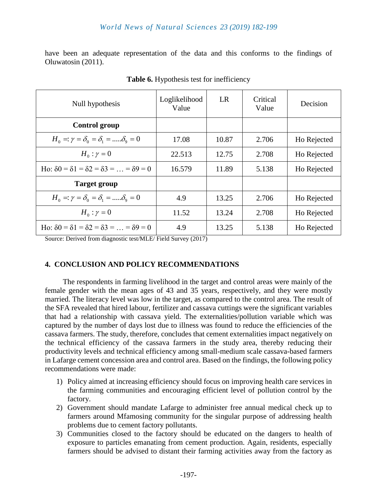have been an adequate representation of the data and this conforms to the findings of Oluwatosin (2011).

| Null hypothesis                                                   | Loglikelihood<br>Value | LR    | Critical<br>Value | Decision    |
|-------------------------------------------------------------------|------------------------|-------|-------------------|-------------|
| <b>Control group</b>                                              |                        |       |                   |             |
| $H_0 =: \gamma = \delta_0 = \delta_1 = \dots = \delta_0 = 0$      | 17.08                  | 10.87 | 2.706             | Ho Rejected |
| $H_0: \gamma = 0$                                                 | 22.513                 | 12.75 | 2.708             | Ho Rejected |
| Ho: $\delta 0 = \delta 1 = \delta 2 = \delta 3 =  = \delta 9 = 0$ | 16.579                 | 11.89 | 5.138             | Ho Rejected |
| <b>Target group</b>                                               |                        |       |                   |             |
| $H_0 =: \gamma = \delta_0 = \delta_1 = \dots = \delta_0 = 0$      | 4.9                    | 13.25 | 2.706             | Ho Rejected |
| $H_0: \gamma = 0$                                                 | 11.52                  | 13.24 | 2.708             | Ho Rejected |
| Ho: $\delta 0 = \delta 1 = \delta 2 = \delta 3 =  = \delta 9 = 0$ | 4.9                    | 13.25 | 5.138             | Ho Rejected |

Table **6.** Hypothesis test for inefficiency

Source: Derived from diagnostic test/MLE/ Field Survey (2017)

## **4. CONCLUSION AND POLICY RECOMMENDATIONS**

The respondents in farming livelihood in the target and control areas were mainly of the female gender with the mean ages of 43 and 35 years, respectively, and they were mostly married. The literacy level was low in the target, as compared to the control area. The result of the SFA revealed that hired labour, fertilizer and cassava cuttings were the significant variables that had a relationship with cassava yield. The externalities/pollution variable which was captured by the number of days lost due to illness was found to reduce the efficiencies of the cassava farmers. The study, therefore, concludes that cement externalities impact negatively on the technical efficiency of the cassava farmers in the study area, thereby reducing their productivity levels and technical efficiency among small-medium scale cassava-based farmers in Lafarge cement concession area and control area. Based on the findings, the following policy recommendations were made:

- 1) Policy aimed at increasing efficiency should focus on improving health care services in the farming communities and encouraging efficient level of pollution control by the factory.
- 2) Government should mandate Lafarge to administer free annual medical check up to farmers around Mfamosing community for the singular purpose of addressing health problems due to cement factory pollutants.
- 3) Communities closed to the factory should be educated on the dangers to health of exposure to particles emanating from cement production. Again, residents, especially farmers should be advised to distant their farming activities away from the factory as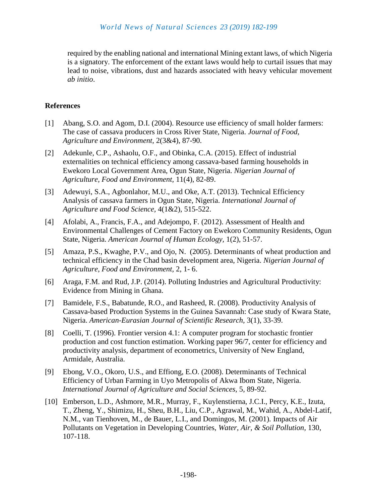required by the enabling national and international Mining extant laws, of which Nigeria is a signatory. The enforcement of the extant laws would help to curtail issues that may lead to noise, vibrations, dust and hazards associated with heavy vehicular movement *ab initio*.

## **References**

- [1] Abang, S.O. and Agom, D.I. (2004). Resource use efficiency of small holder farmers: The case of cassava producers in Cross River State, Nigeria. *Journal of Food, Agriculture and Environment,* 2(3&4), 87-90.
- [2] Adekunle, C.P., Ashaolu, O.F., and Obinka, C.A. (2015). Effect of industrial externalities on technical efficiency among cassava-based farming households in Ewekoro Local Government Area, Ogun State, Nigeria. *Nigerian Journal of Agriculture, Food and Environment,* 11(4), 82-89.
- [3] Adewuyi, S.A., Agbonlahor, M.U., and Oke, A.T. (2013). Technical Efficiency Analysis of cassava farmers in Ogun State, Nigeria. *International Journal of Agriculture and Food Science,* 4(1&2), 515-522.
- [4] Afolabi, A., Francis, F.A., and Adejompo, F. (2012). Assessment of Health and Environmental Challenges of Cement Factory on Ewekoro Community Residents, Ogun State, Nigeria. *American Journal of Human Ecology,* 1(2), 51-57.
- [5] Amaza, P.S., Kwaghe, P.V., and Ojo, N. (2005). Determinants of wheat production and technical efficiency in the Chad basin development area, Nigeria. *Nigerian Journal of Agriculture, Food and Environment,* 2, 1- 6.
- [6] Araga, F.M. and Rud, J.P. (2014). Polluting Industries and Agricultural Productivity: Evidence from Mining in Ghana.
- [7] Bamidele, F.S., Babatunde, R.O., and Rasheed, R. (2008). Productivity Analysis of Cassava-based Production Systems in the Guinea Savannah: Case study of Kwara State, Nigeria. *American-Eurasian Journal of Scientific Research,* 3(1), 33-39.
- [8] Coelli, T. (1996). Frontier version 4.1: A computer program for stochastic frontier production and cost function estimation. Working paper 96/7, center for efficiency and productivity analysis, department of econometrics, University of New England, Armidale, Australia.
- [9] Ebong, V.O., Okoro, U.S., and Effiong, E.O. (2008). Determinants of Technical Efficiency of Urban Farming in Uyo Metropolis of Akwa Ibom State, Nigeria. *International Journal of Agriculture and Social Sciences,* 5, 89-92.
- [10] Emberson, L.D., Ashmore, M.R., Murray, F., Kuylenstierna, J.C.I., Percy, K.E., Izuta, T., Zheng, Y., Shimizu, H., Sheu, B.H., Liu, C.P., Agrawal, M., Wahid, A., Abdel-Latif, N.M., van Tienhoven, M., de Bauer, L.I., and Domingos, M. (2001). Impacts of Air Pollutants on Vegetation in Developing Countries, *Water, Air, & Soil Pollution,* 130, 107-118.